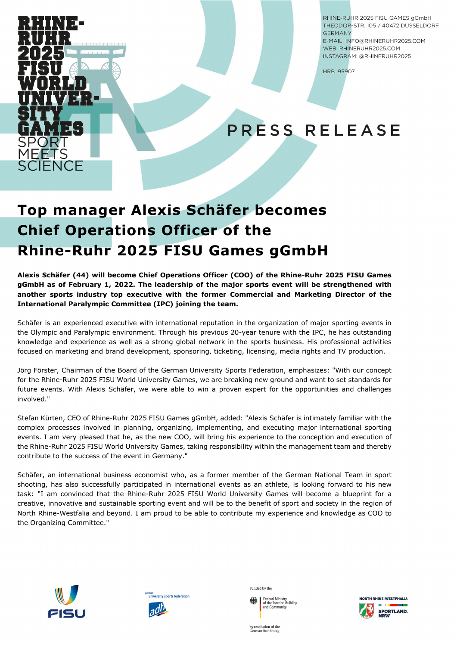

RHINF-RUHR 2025 FISU GAMES aGmbH THEODOR-STR. 105 / 40472 DÜSSELDORF **GERMANY** 

E-MAIL: INFO@RHINERUHR2025.COM WEB: RHINERUHR2025.COM INSTAGRAM: @RHINERUHR2025

HRB: 95907

# PRESS RELEASE

## **Top manager Alexis Schäfer becomes Chief Operations Officer of the Rhine-Ruhr 2025 FISU Games gGmbH**

**Alexis Schäfer (44) will become Chief Operations Officer (COO) of the Rhine-Ruhr 2025 FISU Games gGmbH as of February 1, 2022. The leadership of the major sports event will be strengthened with another sports industry top executive with the former Commercial and Marketing Director of the International Paralympic Committee (IPC) joining the team.**

Schäfer is an experienced executive with international reputation in the organization of major sporting events in the Olympic and Paralympic environment. Through his previous 20-year tenure with the IPC, he has outstanding knowledge and experience as well as a strong global network in the sports business. His professional activities focused on marketing and brand development, sponsoring, ticketing, licensing, media rights and TV production.

Jörg Förster, Chairman of the Board of the German University Sports Federation, emphasizes: "With our concept for the Rhine-Ruhr 2025 FISU World University Games, we are breaking new ground and want to set standards for future events. With Alexis Schäfer, we were able to win a proven expert for the opportunities and challenges involved."

Stefan Kürten, CEO of Rhine-Ruhr 2025 FISU Games gGmbH, added: "Alexis Schäfer is intimately familiar with the complex processes involved in planning, organizing, implementing, and executing major international sporting events. I am very pleased that he, as the new COO, will bring his experience to the conception and execution of the Rhine-Ruhr 2025 FISU World University Games, taking responsibility within the management team and thereby contribute to the success of the event in Germany."

Schäfer, an international business economist who, as a former member of the German National Team in sport shooting, has also successfully participated in international events as an athlete, is looking forward to his new task: "I am convinced that the Rhine-Ruhr 2025 FISU World University Games will become a blueprint for a creative, innovative and sustainable sporting event and will be to the benefit of sport and society in the region of North Rhine-Westfalia and beyond. I am proud to be able to contribute my experience and knowledge as COO to the Organizing Committee."





Funded by the

Federal Ministry<br>of the Interior, Building<br>and Community of the Interior, B<br>and Community



by resolution of the<br>German Bundestag